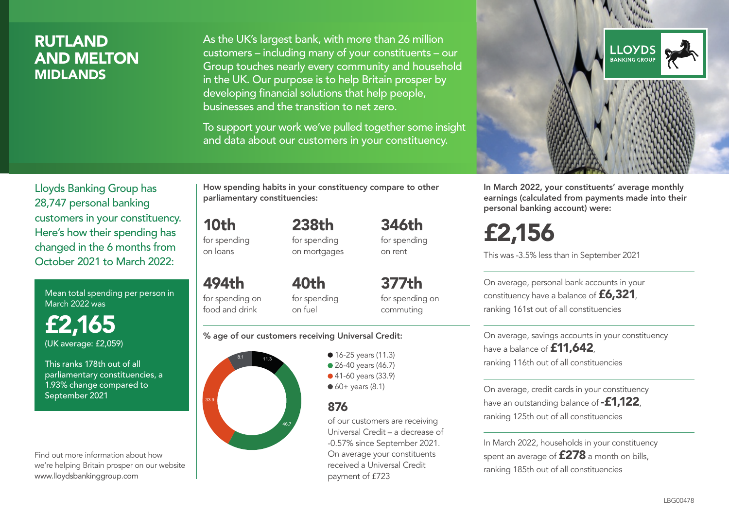# **RUTLAND** AND MELTON MIDLANDS

As the UK's largest bank, with more than 26 million customers – including many of your constituents – our Group touches nearly every community and household in the UK. Our purpose is to help Britain prosper by developing financial solutions that help people, businesses and the transition to net zero.

To support your work we've pulled together some insight and data about our customers in your constituency.



Mean total spending per person in March 2022 was

£2,165 (UK average: £2,059)

This ranks 178th out of all parliamentary constituencies, a 1.93% change compared to September 2021

Find out more information about how we're helping Britain prosper on our website www.lloydsbankinggroup.com

How spending habits in your constituency compare to other parliamentary constituencies:

for spending 238th for spending on mortgages

10th

on loans

494th

food and drink

for spending on 40th for spending

for spending on commuting

#### % age of our customers receiving Universal Credit:

on fuel



• 16-25 years (11.3) • 26-40 years (46.7) ● 41-60 years (33.9)  $60+$  years (8.1)

### 876

of our customers are receiving Universal Credit – a decrease of -0.57% since September 2021. On average your constituents received a Universal Credit payment of £723

346th for spending on rent

377th



In March 2022, your constituents' average monthly earnings (calculated from payments made into their personal banking account) were:

# £2,156

This was -3.5% less than in September 2021

On average, personal bank accounts in your constituency have a balance of £6,321, ranking 161st out of all constituencies

On average, savings accounts in your constituency have a balance of **£11,642** ranking 116th out of all constituencies

On average, credit cards in your constituency have an outstanding balance of **-£1,122** ranking 125th out of all constituencies

In March 2022, households in your constituency spent an average of £278 a month on bills, ranking 185th out of all constituencies